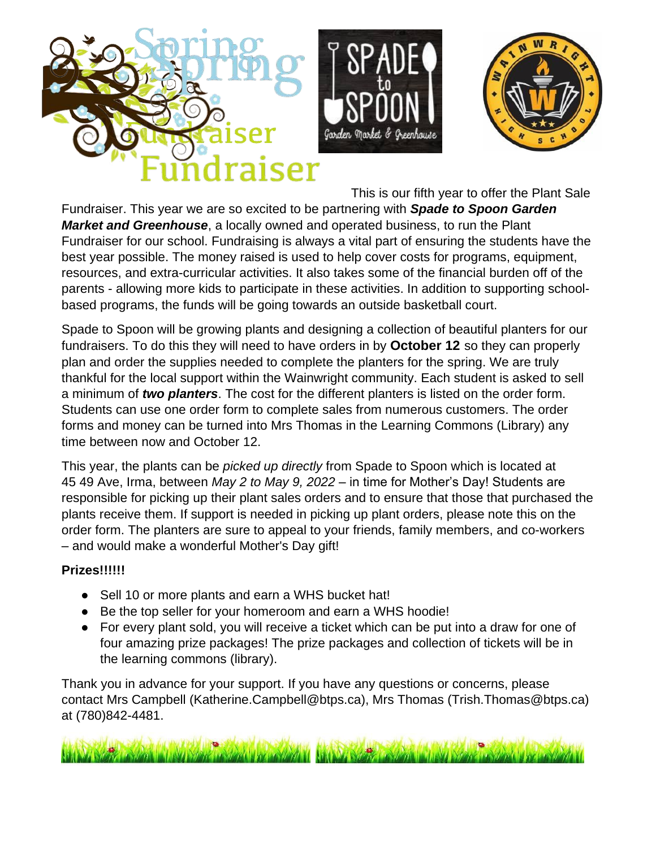





This is our fifth year to offer the Plant Sale Fundraiser. This year we are so excited to be partnering with *Spade to Spoon Garden Market and Greenhouse*, a locally owned and operated business, to run the Plant Fundraiser for our school. Fundraising is always a vital part of ensuring the students have the best year possible. The money raised is used to help cover costs for programs, equipment, resources, and extra-curricular activities. It also takes some of the financial burden off of the parents - allowing more kids to participate in these activities. In addition to supporting schoolbased programs, the funds will be going towards an outside basketball court.

Spade to Spoon will be growing plants and designing a collection of beautiful planters for our fundraisers. To do this they will need to have orders in by **October 12** so they can properly plan and order the supplies needed to complete the planters for the spring. We are truly thankful for the local support within the Wainwright community. Each student is asked to sell a minimum of *two planters*. The cost for the different planters is listed on the order form. Students can use one order form to complete sales from numerous customers. The order forms and money can be turned into Mrs Thomas in the Learning Commons (Library) any time between now and October 12.

This year, the plants can be *picked up directly* from Spade to Spoon which is located at 45 49 Ave, Irma, between *May 2 to May 9, 2022* – in time for Mother's Day! Students are responsible for picking up their plant sales orders and to ensure that those that purchased the plants receive them. If support is needed in picking up plant orders, please note this on the order form. The planters are sure to appeal to your friends, family members, and co-workers – and would make a wonderful Mother's Day gift!

### **Prizes!!!!!!**

- Sell 10 or more plants and earn a WHS bucket hat!
- Be the top seller for your homeroom and earn a WHS hoodie!
- For every plant sold, you will receive a ticket which can be put into a draw for one of four amazing prize packages! The prize packages and collection of tickets will be in the learning commons (library).

Thank you in advance for your support. If you have any questions or concerns, please contact Mrs Campbell (Katherine.Campbell@btps.ca), Mrs Thomas (Trish.Thomas@btps.ca) at (780)842-4481.

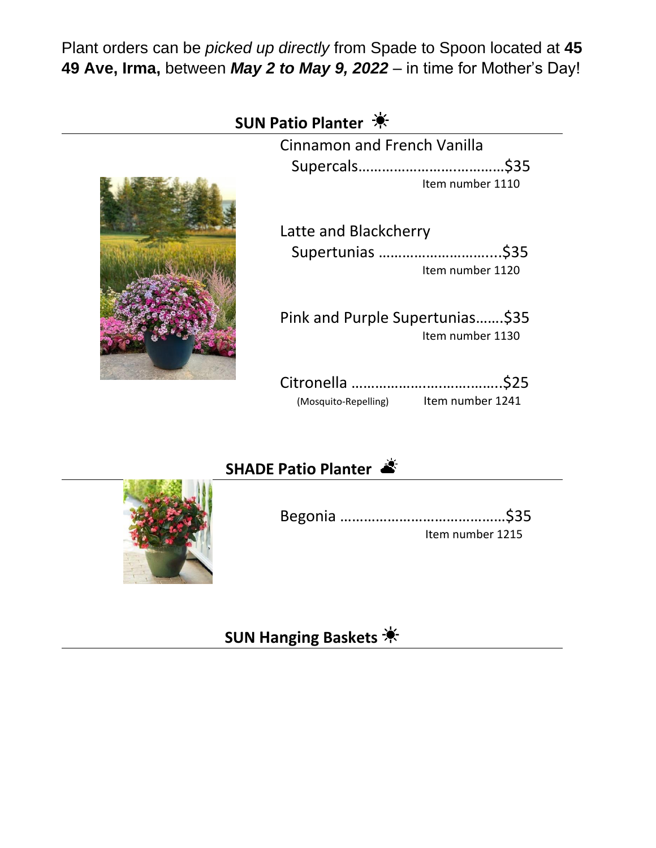Plant orders can be *picked up directly* from Spade to Spoon located at **45 49 Ave, Irma,** between *May 2 to May 9, 2022* – in time for Mother's Day!



## **SHADE Patio Planter**

| Item number 1215 |
|------------------|



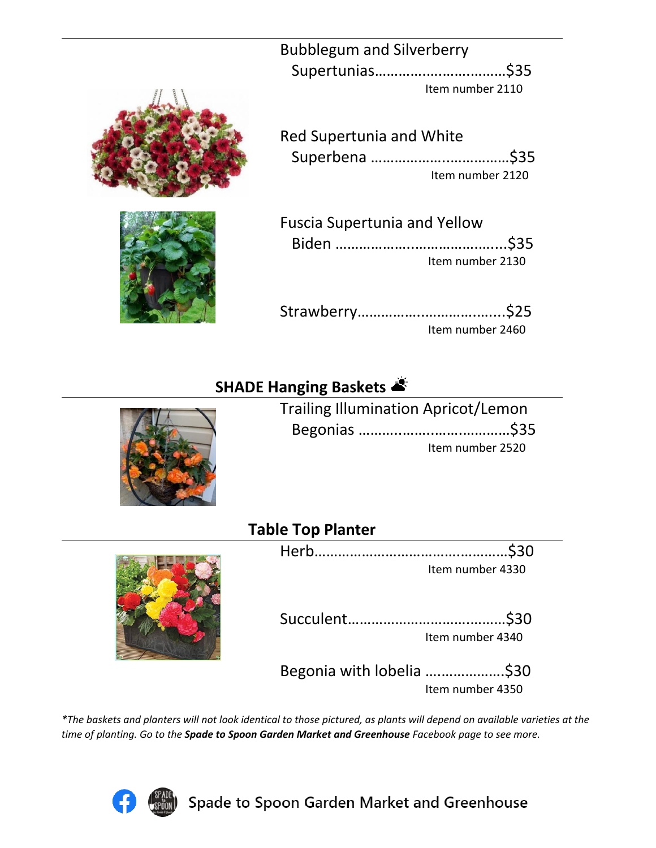Bubblegum and Silverberry Supertunias………….….…….………\$35 Item number 2110

Red Supertunia and White Superbena ………………..……………\$35 Item number 2120

| <b>Fuscia Supertunia and Yellow</b> |                  |
|-------------------------------------|------------------|
|                                     |                  |
|                                     | Item number 2130 |

Strawberry……………..………….…....\$25 Item number 2460

# **SHADE Hanging Baskets**

| <b>Trailing Illumination Apricot/Lemon</b> |                  |
|--------------------------------------------|------------------|
|                                            |                  |
|                                            | Item number 2520 |

### **Table Top Planter**

| Item number 4330 |
|------------------|

Succulent………………………….………\$30 Item number 4340

Begonia with lobelia ….…………….\$30 Item number 4350

*\*The baskets and planters will not look identical to those pictured, as plants will depend on available varieties at the time of planting. Go to the Spade to Spoon Garden Market and Greenhouse Facebook page to see more.*